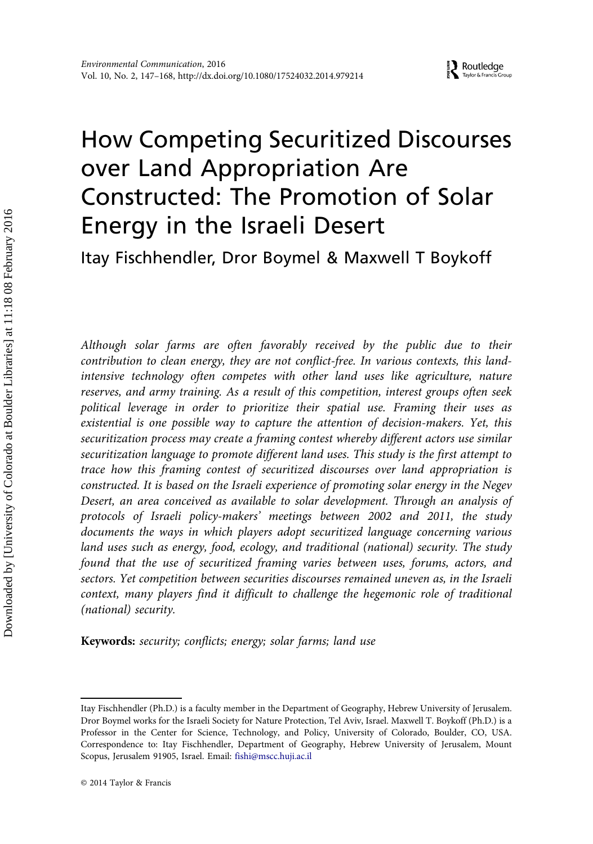# How Competing Securitized Discourses over Land Appropriation Are Constructed: The Promotion of Solar Energy in the Israeli Desert

Itay Fischhendler, Dror Boymel & Maxwell T Boykoff

Although solar farms are often favorably received by the public due to their contribution to clean energy, they are not conflict-free. In various contexts, this landintensive technology often competes with other land uses like agriculture, nature reserves, and army training. As a result of this competition, interest groups often seek political leverage in order to prioritize their spatial use. Framing their uses as existential is one possible way to capture the attention of decision-makers. Yet, this securitization process may create a framing contest whereby different actors use similar securitization language to promote different land uses. This study is the first attempt to trace how this framing contest of securitized discourses over land appropriation is constructed. It is based on the Israeli experience of promoting solar energy in the Negev Desert, an area conceived as available to solar development. Through an analysis of protocols of Israeli policy-makers' meetings between 2002 and 2011, the study documents the ways in which players adopt securitized language concerning various land uses such as energy, food, ecology, and traditional (national) security. The study found that the use of securitized framing varies between uses, forums, actors, and sectors. Yet competition between securities discourses remained uneven as, in the Israeli context, many players find it difficult to challenge the hegemonic role of traditional (national) security.

Keywords: security; conflicts; energy; solar farms; land use

Itay Fischhendler (Ph.D.) is a faculty member in the Department of Geography, Hebrew University of Jerusalem. Dror Boymel works for the Israeli Society for Nature Protection, Tel Aviv, Israel. Maxwell T. Boykoff (Ph.D.) is a Professor in the Center for Science, Technology, and Policy, University of Colorado, Boulder, CO, USA. Correspondence to: Itay Fischhendler, Department of Geography, Hebrew University of Jerusalem, Mount Scopus, Jerusalem 91905, Israel. Email: [fishi@mscc.huji.ac.il](mailto:fishi@mscc.huji.ac.il)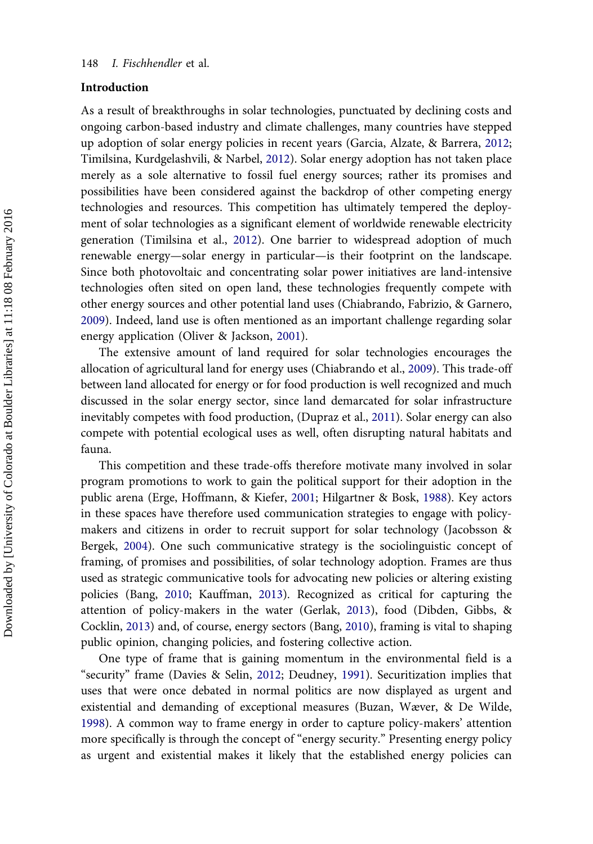#### Introduction

As a result of breakthroughs in solar technologies, punctuated by declining costs and ongoing carbon-based industry and climate challenges, many countries have stepped up adoption of solar energy policies in recent years (Garcia, Alzate, & Barrera, [2012;](#page-19-0) Timilsina, Kurdgelashvili, & Narbel, [2012](#page-20-0)). Solar energy adoption has not taken place merely as a sole alternative to fossil fuel energy sources; rather its promises and possibilities have been considered against the backdrop of other competing energy technologies and resources. This competition has ultimately tempered the deployment of solar technologies as a significant element of worldwide renewable electricity generation (Timilsina et al., [2012](#page-20-0)). One barrier to widespread adoption of much renewable energy—solar energy in particular—is their footprint on the landscape. Since both photovoltaic and concentrating solar power initiatives are land-intensive technologies often sited on open land, these technologies frequently compete with other energy sources and other potential land uses (Chiabrando, Fabrizio, & Garnero, [2009](#page-18-0)). Indeed, land use is often mentioned as an important challenge regarding solar energy application (Oliver & Jackson, [2001](#page-20-0)).

The extensive amount of land required for solar technologies encourages the allocation of agricultural land for energy uses (Chiabrando et al., [2009\)](#page-18-0). This trade-off between land allocated for energy or for food production is well recognized and much discussed in the solar energy sector, since land demarcated for solar infrastructure inevitably competes with food production, (Dupraz et al., [2011](#page-18-0)). Solar energy can also compete with potential ecological uses as well, often disrupting natural habitats and fauna.

This competition and these trade-offs therefore motivate many involved in solar program promotions to work to gain the political support for their adoption in the public arena (Erge, Hoffmann, & Kiefer, [2001](#page-19-0); Hilgartner & Bosk, [1988](#page-19-0)). Key actors in these spaces have therefore used communication strategies to engage with policymakers and citizens in order to recruit support for solar technology (Jacobsson & Bergek, [2004\)](#page-20-0). One such communicative strategy is the sociolinguistic concept of framing, of promises and possibilities, of solar technology adoption. Frames are thus used as strategic communicative tools for advocating new policies or altering existing policies (Bang, [2010](#page-18-0); Kauffman, [2013](#page-20-0)). Recognized as critical for capturing the attention of policy-makers in the water (Gerlak, [2013](#page-19-0)), food (Dibden, Gibbs, & Cocklin, [2013\)](#page-18-0) and, of course, energy sectors (Bang, [2010](#page-18-0)), framing is vital to shaping public opinion, changing policies, and fostering collective action.

One type of frame that is gaining momentum in the environmental field is a "security" frame (Davies & Selin, [2012;](#page-18-0) Deudney, [1991](#page-18-0)). Securitization implies that uses that were once debated in normal politics are now displayed as urgent and existential and demanding of exceptional measures (Buzan, Wæver, & De Wilde, [1998](#page-18-0)). A common way to frame energy in order to capture policy-makers' attention more specifically is through the concept of "energy security." Presenting energy policy as urgent and existential makes it likely that the established energy policies can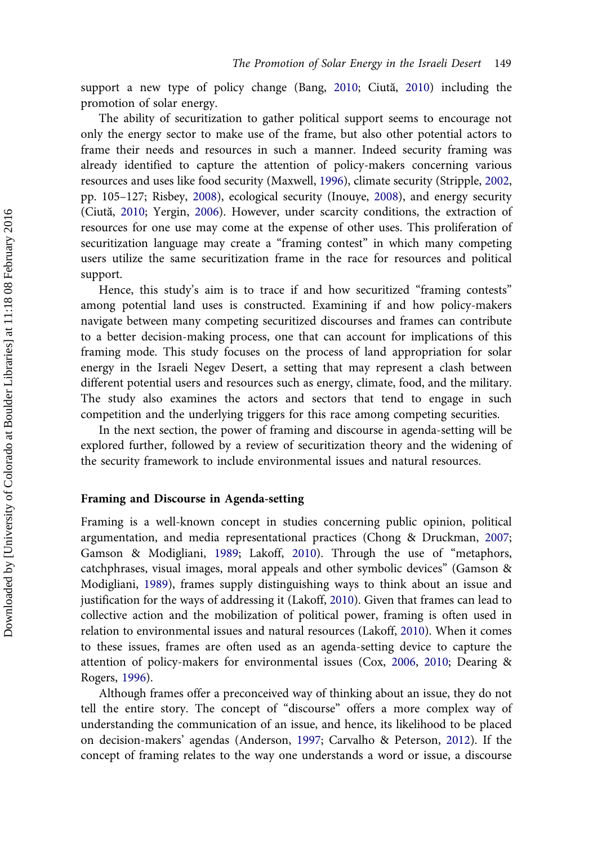support a new type of policy change (Bang, [2010;](#page-18-0) Ciută, [2010\)](#page-18-0) including the promotion of solar energy.

The ability of securitization to gather political support seems to encourage not only the energy sector to make use of the frame, but also other potential actors to frame their needs and resources in such a manner. Indeed security framing was already identified to capture the attention of policy-makers concerning various resources and uses like food security (Maxwell, [1996\)](#page-20-0), climate security (Stripple, [2002,](#page-20-0) pp. 105–127; Risbey, [2008](#page-20-0)), ecological security (Inouye, [2008](#page-19-0)), and energy security (Ciută, [2010;](#page-18-0) Yergin, [2006](#page-21-0)). However, under scarcity conditions, the extraction of resources for one use may come at the expense of other uses. This proliferation of securitization language may create a "framing contest" in which many competing users utilize the same securitization frame in the race for resources and political support.

Hence, this study's aim is to trace if and how securitized "framing contests" among potential land uses is constructed. Examining if and how policy-makers navigate between many competing securitized discourses and frames can contribute to a better decision-making process, one that can account for implications of this framing mode. This study focuses on the process of land appropriation for solar energy in the Israeli Negev Desert, a setting that may represent a clash between different potential users and resources such as energy, climate, food, and the military. The study also examines the actors and sectors that tend to engage in such competition and the underlying triggers for this race among competing securities.

In the next section, the power of framing and discourse in agenda-setting will be explored further, followed by a review of securitization theory and the widening of the security framework to include environmental issues and natural resources.

#### Framing and Discourse in Agenda-setting

Framing is a well-known concept in studies concerning public opinion, political argumentation, and media representational practices (Chong & Druckman, [2007;](#page-18-0) Gamson & Modigliani, [1989](#page-19-0); Lakoff, [2010](#page-20-0)). Through the use of "metaphors, catchphrases, visual images, moral appeals and other symbolic devices" (Gamson & Modigliani, [1989\)](#page-19-0), frames supply distinguishing ways to think about an issue and justification for the ways of addressing it (Lakoff, [2010](#page-20-0)). Given that frames can lead to collective action and the mobilization of political power, framing is often used in relation to environmental issues and natural resources (Lakoff, [2010](#page-20-0)). When it comes to these issues, frames are often used as an agenda-setting device to capture the attention of policy-makers for environmental issues (Cox, [2006,](#page-18-0) [2010](#page-18-0); Dearing & Rogers, [1996](#page-18-0)).

Although frames offer a preconceived way of thinking about an issue, they do not tell the entire story. The concept of "discourse" offers a more complex way of understanding the communication of an issue, and hence, its likelihood to be placed on decision-makers' agendas (Anderson, [1997;](#page-18-0) Carvalho & Peterson, [2012](#page-18-0)). If the concept of framing relates to the way one understands a word or issue, a discourse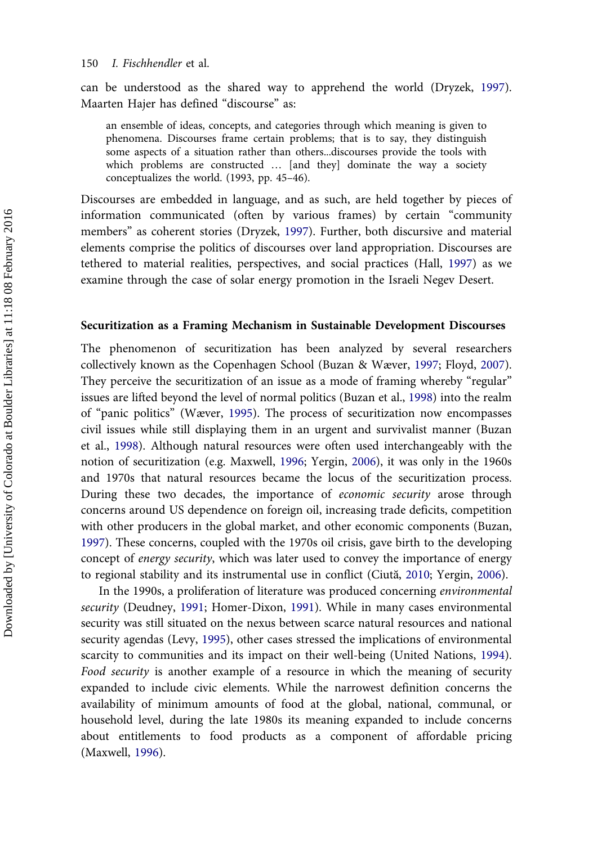can be understood as the shared way to apprehend the world (Dryzek, [1997](#page-18-0)). Maarten Hajer has defined "discourse" as:

an ensemble of ideas, concepts, and categories through which meaning is given to phenomena. Discourses frame certain problems; that is to say, they distinguish some aspects of a situation rather than others...discourses provide the tools with which problems are constructed … [and they] dominate the way a society conceptualizes the world. (1993, pp. 45–46).

Discourses are embedded in language, and as such, are held together by pieces of information communicated (often by various frames) by certain "community members" as coherent stories (Dryzek, [1997\)](#page-18-0). Further, both discursive and material elements comprise the politics of discourses over land appropriation. Discourses are tethered to material realities, perspectives, and social practices (Hall, [1997\)](#page-19-0) as we examine through the case of solar energy promotion in the Israeli Negev Desert.

#### Securitization as a Framing Mechanism in Sustainable Development Discourses

The phenomenon of securitization has been analyzed by several researchers collectively known as the Copenhagen School (Buzan & Wæver, [1997;](#page-18-0) Floyd, [2007](#page-19-0)). They perceive the securitization of an issue as a mode of framing whereby "regular" issues are lifted beyond the level of normal politics (Buzan et al., [1998](#page-18-0)) into the realm of "panic politics" (Wæver, [1995](#page-21-0)). The process of securitization now encompasses civil issues while still displaying them in an urgent and survivalist manner (Buzan et al., [1998](#page-18-0)). Although natural resources were often used interchangeably with the notion of securitization (e.g. Maxwell, [1996;](#page-20-0) Yergin, [2006\)](#page-21-0), it was only in the 1960s and 1970s that natural resources became the locus of the securitization process. During these two decades, the importance of economic security arose through concerns around US dependence on foreign oil, increasing trade deficits, competition with other producers in the global market, and other economic components (Buzan, [1997](#page-18-0)). These concerns, coupled with the 1970s oil crisis, gave birth to the developing concept of energy security, which was later used to convey the importance of energy to regional stability and its instrumental use in conflict (Ciută, [2010;](#page-18-0) Yergin, [2006](#page-21-0)).

In the 1990s, a proliferation of literature was produced concerning environmental security (Deudney, [1991;](#page-18-0) Homer-Dixon, [1991\)](#page-19-0). While in many cases environmental security was still situated on the nexus between scarce natural resources and national security agendas (Levy, [1995](#page-20-0)), other cases stressed the implications of environmental scarcity to communities and its impact on their well-being (United Nations, [1994](#page-20-0)). Food security is another example of a resource in which the meaning of security expanded to include civic elements. While the narrowest definition concerns the availability of minimum amounts of food at the global, national, communal, or household level, during the late 1980s its meaning expanded to include concerns about entitlements to food products as a component of affordable pricing (Maxwell, [1996](#page-20-0)).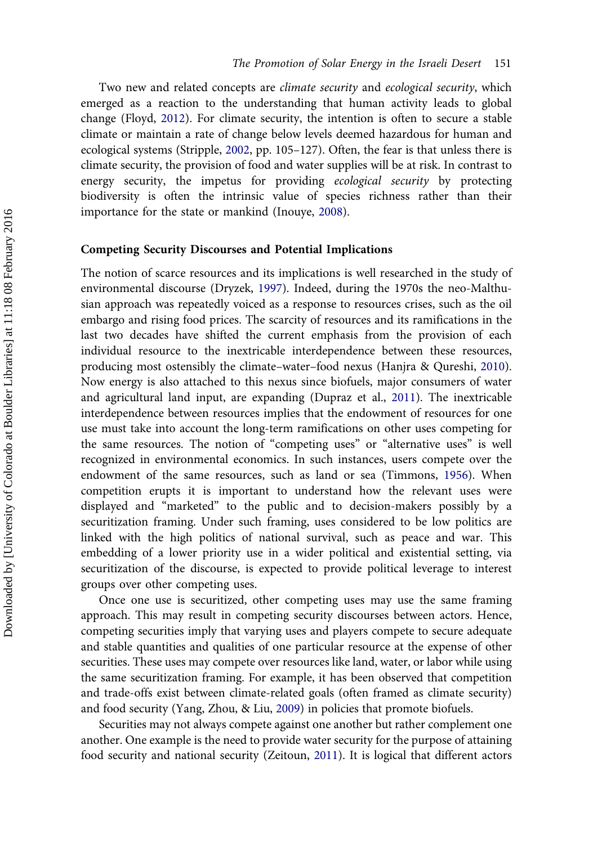Two new and related concepts are climate security and ecological security, which emerged as a reaction to the understanding that human activity leads to global change (Floyd, [2012](#page-19-0)). For climate security, the intention is often to secure a stable climate or maintain a rate of change below levels deemed hazardous for human and ecological systems (Stripple, [2002,](#page-20-0) pp. 105–127). Often, the fear is that unless there is climate security, the provision of food and water supplies will be at risk. In contrast to energy security, the impetus for providing ecological security by protecting biodiversity is often the intrinsic value of species richness rather than their importance for the state or mankind (Inouye, [2008](#page-19-0)).

## Competing Security Discourses and Potential Implications

The notion of scarce resources and its implications is well researched in the study of environmental discourse (Dryzek, [1997\)](#page-18-0). Indeed, during the 1970s the neo-Malthusian approach was repeatedly voiced as a response to resources crises, such as the oil embargo and rising food prices. The scarcity of resources and its ramifications in the last two decades have shifted the current emphasis from the provision of each individual resource to the inextricable interdependence between these resources, producing most ostensibly the climate–water–food nexus (Hanjra & Qureshi, [2010](#page-19-0)). Now energy is also attached to this nexus since biofuels, major consumers of water and agricultural land input, are expanding (Dupraz et al., [2011](#page-18-0)). The inextricable interdependence between resources implies that the endowment of resources for one use must take into account the long-term ramifications on other uses competing for the same resources. The notion of "competing uses" or "alternative uses" is well recognized in environmental economics. In such instances, users compete over the endowment of the same resources, such as land or sea (Timmons, [1956](#page-20-0)). When competition erupts it is important to understand how the relevant uses were displayed and "marketed" to the public and to decision-makers possibly by a securitization framing. Under such framing, uses considered to be low politics are linked with the high politics of national survival, such as peace and war. This embedding of a lower priority use in a wider political and existential setting, via securitization of the discourse, is expected to provide political leverage to interest groups over other competing uses.

Once one use is securitized, other competing uses may use the same framing approach. This may result in competing security discourses between actors. Hence, competing securities imply that varying uses and players compete to secure adequate and stable quantities and qualities of one particular resource at the expense of other securities. These uses may compete over resources like land, water, or labor while using the same securitization framing. For example, it has been observed that competition and trade-offs exist between climate-related goals (often framed as climate security) and food security (Yang, Zhou, & Liu, [2009\)](#page-21-0) in policies that promote biofuels.

Securities may not always compete against one another but rather complement one another. One example is the need to provide water security for the purpose of attaining food security and national security (Zeitoun, [2011](#page-21-0)). It is logical that different actors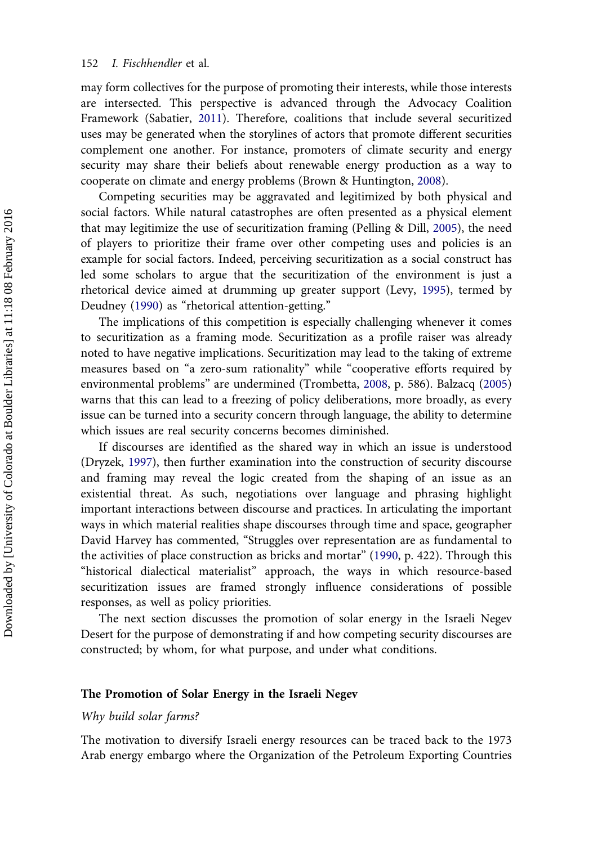may form collectives for the purpose of promoting their interests, while those interests are intersected. This perspective is advanced through the Advocacy Coalition Framework (Sabatier, [2011\)](#page-20-0). Therefore, coalitions that include several securitized uses may be generated when the storylines of actors that promote different securities complement one another. For instance, promoters of climate security and energy security may share their beliefs about renewable energy production as a way to cooperate on climate and energy problems (Brown & Huntington, [2008](#page-18-0)).

Competing securities may be aggravated and legitimized by both physical and social factors. While natural catastrophes are often presented as a physical element that may legitimize the use of securitization framing (Pelling & Dill, [2005](#page-20-0)), the need of players to prioritize their frame over other competing uses and policies is an example for social factors. Indeed, perceiving securitization as a social construct has led some scholars to argue that the securitization of the environment is just a rhetorical device aimed at drumming up greater support (Levy, [1995](#page-20-0)), termed by Deudney ([1990](#page-18-0)) as "rhetorical attention-getting."

The implications of this competition is especially challenging whenever it comes to securitization as a framing mode. Securitization as a profile raiser was already noted to have negative implications. Securitization may lead to the taking of extreme measures based on "a zero-sum rationality" while "cooperative efforts required by environmental problems" are undermined (Trombetta, [2008,](#page-20-0) p. 586). Balzacq [\(2005](#page-18-0)) warns that this can lead to a freezing of policy deliberations, more broadly, as every issue can be turned into a security concern through language, the ability to determine which issues are real security concerns becomes diminished.

If discourses are identified as the shared way in which an issue is understood (Dryzek, [1997\)](#page-18-0), then further examination into the construction of security discourse and framing may reveal the logic created from the shaping of an issue as an existential threat. As such, negotiations over language and phrasing highlight important interactions between discourse and practices. In articulating the important ways in which material realities shape discourses through time and space, geographer David Harvey has commented, "Struggles over representation are as fundamental to the activities of place construction as bricks and mortar" [\(1990](#page-18-0), p. 422). Through this "historical dialectical materialist" approach, the ways in which resource-based securitization issues are framed strongly influence considerations of possible responses, as well as policy priorities.

The next section discusses the promotion of solar energy in the Israeli Negev Desert for the purpose of demonstrating if and how competing security discourses are constructed; by whom, for what purpose, and under what conditions.

#### The Promotion of Solar Energy in the Israeli Negev

#### Why build solar farms?

The motivation to diversify Israeli energy resources can be traced back to the 1973 Arab energy embargo where the Organization of the Petroleum Exporting Countries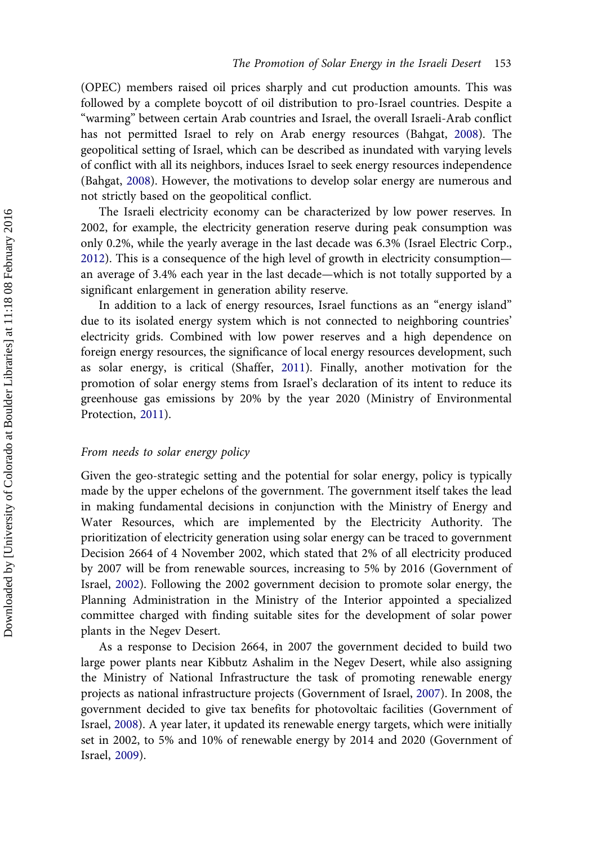(OPEC) members raised oil prices sharply and cut production amounts. This was followed by a complete boycott of oil distribution to pro-Israel countries. Despite a "warming" between certain Arab countries and Israel, the overall Israeli-Arab conflict has not permitted Israel to rely on Arab energy resources (Bahgat, [2008](#page-18-0)). The geopolitical setting of Israel, which can be described as inundated with varying levels of conflict with all its neighbors, induces Israel to seek energy resources independence (Bahgat, [2008](#page-18-0)). However, the motivations to develop solar energy are numerous and not strictly based on the geopolitical conflict.

The Israeli electricity economy can be characterized by low power reserves. In 2002, for example, the electricity generation reserve during peak consumption was only 0.2%, while the yearly average in the last decade was 6.3% (Israel Electric Corp., [2012](#page-19-0)). This is a consequence of the high level of growth in electricity consumption an average of 3.4% each year in the last decade—which is not totally supported by a significant enlargement in generation ability reserve.

In addition to a lack of energy resources, Israel functions as an "energy island" due to its isolated energy system which is not connected to neighboring countries' electricity grids. Combined with low power reserves and a high dependence on foreign energy resources, the significance of local energy resources development, such as solar energy, is critical (Shaffer, [2011](#page-20-0)). Finally, another motivation for the promotion of solar energy stems from Israel's declaration of its intent to reduce its greenhouse gas emissions by 20% by the year 2020 (Ministry of Environmental Protection, [2011\)](#page-20-0).

#### From needs to solar energy policy

Given the geo-strategic setting and the potential for solar energy, policy is typically made by the upper echelons of the government. The government itself takes the lead in making fundamental decisions in conjunction with the Ministry of Energy and Water Resources, which are implemented by the Electricity Authority. The prioritization of electricity generation using solar energy can be traced to government Decision 2664 of 4 November 2002, which stated that 2% of all electricity produced by 2007 will be from renewable sources, increasing to 5% by 2016 (Government of Israel, [2002](#page-19-0)). Following the 2002 government decision to promote solar energy, the Planning Administration in the Ministry of the Interior appointed a specialized committee charged with finding suitable sites for the development of solar power plants in the Negev Desert.

As a response to Decision 2664, in 2007 the government decided to build two large power plants near Kibbutz Ashalim in the Negev Desert, while also assigning the Ministry of National Infrastructure the task of promoting renewable energy projects as national infrastructure projects (Government of Israel, [2007](#page-19-0)). In 2008, the government decided to give tax benefits for photovoltaic facilities (Government of Israel, [2008](#page-19-0)). A year later, it updated its renewable energy targets, which were initially set in 2002, to 5% and 10% of renewable energy by 2014 and 2020 (Government of Israel, [2009\)](#page-19-0).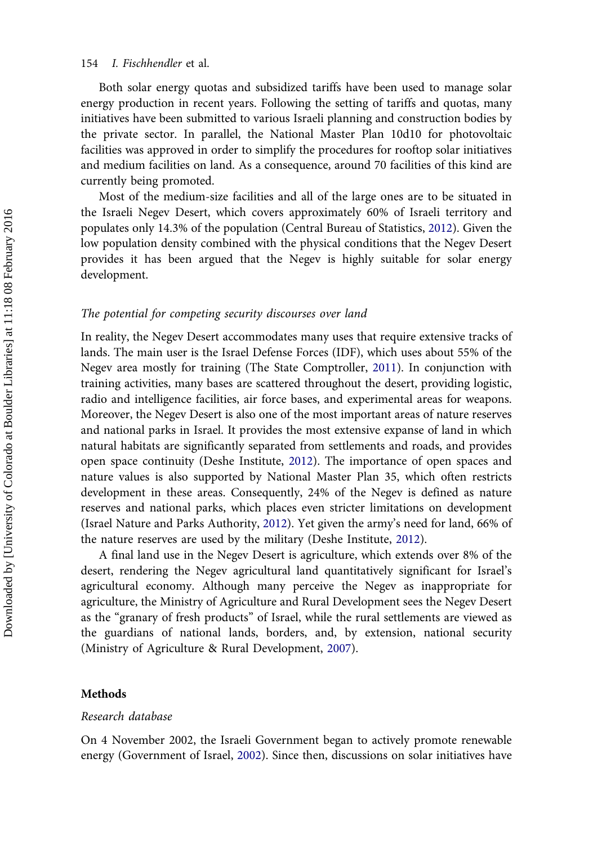Both solar energy quotas and subsidized tariffs have been used to manage solar energy production in recent years. Following the setting of tariffs and quotas, many initiatives have been submitted to various Israeli planning and construction bodies by the private sector. In parallel, the National Master Plan 10d10 for photovoltaic facilities was approved in order to simplify the procedures for rooftop solar initiatives and medium facilities on land. As a consequence, around 70 facilities of this kind are currently being promoted.

Most of the medium-size facilities and all of the large ones are to be situated in the Israeli Negev Desert, which covers approximately 60% of Israeli territory and populates only 14.3% of the population (Central Bureau of Statistics, [2012](#page-18-0)). Given the low population density combined with the physical conditions that the Negev Desert provides it has been argued that the Negev is highly suitable for solar energy development.

#### The potential for competing security discourses over land

In reality, the Negev Desert accommodates many uses that require extensive tracks of lands. The main user is the Israel Defense Forces (IDF), which uses about 55% of the Negev area mostly for training (The State Comptroller, [2011](#page-20-0)). In conjunction with training activities, many bases are scattered throughout the desert, providing logistic, radio and intelligence facilities, air force bases, and experimental areas for weapons. Moreover, the Negev Desert is also one of the most important areas of nature reserves and national parks in Israel. It provides the most extensive expanse of land in which natural habitats are significantly separated from settlements and roads, and provides open space continuity (Deshe Institute, [2012](#page-18-0)). The importance of open spaces and nature values is also supported by National Master Plan 35, which often restricts development in these areas. Consequently, 24% of the Negev is defined as nature reserves and national parks, which places even stricter limitations on development (Israel Nature and Parks Authority, [2012\)](#page-19-0). Yet given the army's need for land, 66% of the nature reserves are used by the military (Deshe Institute, [2012\)](#page-18-0).

A final land use in the Negev Desert is agriculture, which extends over 8% of the desert, rendering the Negev agricultural land quantitatively significant for Israel's agricultural economy. Although many perceive the Negev as inappropriate for agriculture, the Ministry of Agriculture and Rural Development sees the Negev Desert as the "granary of fresh products" of Israel, while the rural settlements are viewed as the guardians of national lands, borders, and, by extension, national security (Ministry of Agriculture & Rural Development, [2007](#page-20-0)).

#### Methods

#### Research database

On 4 November 2002, the Israeli Government began to actively promote renewable energy (Government of Israel, [2002](#page-19-0)). Since then, discussions on solar initiatives have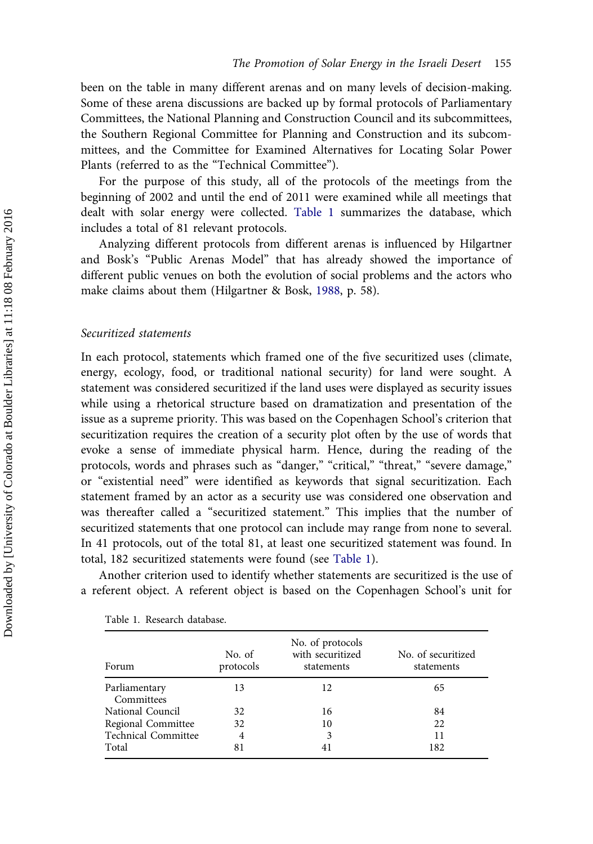been on the table in many different arenas and on many levels of decision-making. Some of these arena discussions are backed up by formal protocols of Parliamentary Committees, the National Planning and Construction Council and its subcommittees, the Southern Regional Committee for Planning and Construction and its subcommittees, and the Committee for Examined Alternatives for Locating Solar Power Plants (referred to as the "Technical Committee").

For the purpose of this study, all of the protocols of the meetings from the beginning of 2002 and until the end of 2011 were examined while all meetings that dealt with solar energy were collected. Table 1 summarizes the database, which includes a total of 81 relevant protocols.

Analyzing different protocols from different arenas is influenced by Hilgartner and Bosk's "Public Arenas Model" that has already showed the importance of different public venues on both the evolution of social problems and the actors who make claims about them (Hilgartner & Bosk, [1988,](#page-19-0) p. 58).

## Securitized statements

In each protocol, statements which framed one of the five securitized uses (climate, energy, ecology, food, or traditional national security) for land were sought. A statement was considered securitized if the land uses were displayed as security issues while using a rhetorical structure based on dramatization and presentation of the issue as a supreme priority. This was based on the Copenhagen School's criterion that securitization requires the creation of a security plot often by the use of words that evoke a sense of immediate physical harm. Hence, during the reading of the protocols, words and phrases such as "danger," "critical," "threat," "severe damage," or "existential need" were identified as keywords that signal securitization. Each statement framed by an actor as a security use was considered one observation and was thereafter called a "securitized statement." This implies that the number of securitized statements that one protocol can include may range from none to several. In 41 protocols, out of the total 81, at least one securitized statement was found. In total, 182 securitized statements were found (see Table 1).

Another criterion used to identify whether statements are securitized is the use of a referent object. A referent object is based on the Copenhagen School's unit for

| No. of<br>protocols | No. of protocols<br>with securitized<br>statements | No. of securitized<br>statements |
|---------------------|----------------------------------------------------|----------------------------------|
| 13                  | 12                                                 | 65                               |
| 32                  | 16                                                 | 84                               |
| 32                  | 10                                                 | 22                               |
| 4<br>81             | 3                                                  | 11<br>182                        |
|                     |                                                    |                                  |

Table 1. Research database.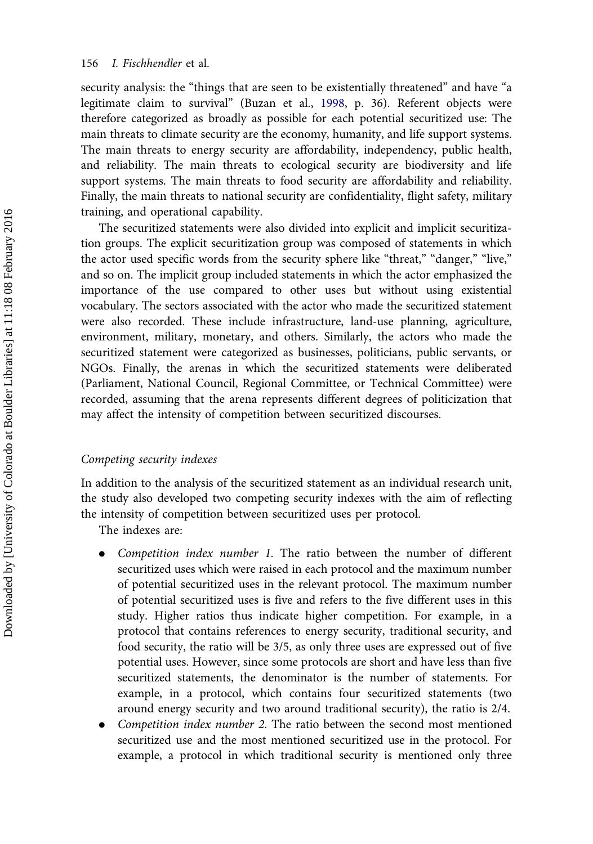security analysis: the "things that are seen to be existentially threatened" and have "a legitimate claim to survival" (Buzan et al., [1998,](#page-18-0) p. 36). Referent objects were therefore categorized as broadly as possible for each potential securitized use: The main threats to climate security are the economy, humanity, and life support systems. The main threats to energy security are affordability, independency, public health, and reliability. The main threats to ecological security are biodiversity and life support systems. The main threats to food security are affordability and reliability. Finally, the main threats to national security are confidentiality, flight safety, military training, and operational capability.

The securitized statements were also divided into explicit and implicit securitization groups. The explicit securitization group was composed of statements in which the actor used specific words from the security sphere like "threat," "danger," "live," and so on. The implicit group included statements in which the actor emphasized the importance of the use compared to other uses but without using existential vocabulary. The sectors associated with the actor who made the securitized statement were also recorded. These include infrastructure, land-use planning, agriculture, environment, military, monetary, and others. Similarly, the actors who made the securitized statement were categorized as businesses, politicians, public servants, or NGOs. Finally, the arenas in which the securitized statements were deliberated (Parliament, National Council, Regional Committee, or Technical Committee) were recorded, assuming that the arena represents different degrees of politicization that may affect the intensity of competition between securitized discourses.

# Competing security indexes

In addition to the analysis of the securitized statement as an individual research unit, the study also developed two competing security indexes with the aim of reflecting the intensity of competition between securitized uses per protocol.

The indexes are:

- . Competition index number 1. The ratio between the number of different securitized uses which were raised in each protocol and the maximum number of potential securitized uses in the relevant protocol. The maximum number of potential securitized uses is five and refers to the five different uses in this study. Higher ratios thus indicate higher competition. For example, in a protocol that contains references to energy security, traditional security, and food security, the ratio will be 3/5, as only three uses are expressed out of five potential uses. However, since some protocols are short and have less than five securitized statements, the denominator is the number of statements. For example, in a protocol, which contains four securitized statements (two around energy security and two around traditional security), the ratio is 2/4.
- . Competition index number 2. The ratio between the second most mentioned securitized use and the most mentioned securitized use in the protocol. For example, a protocol in which traditional security is mentioned only three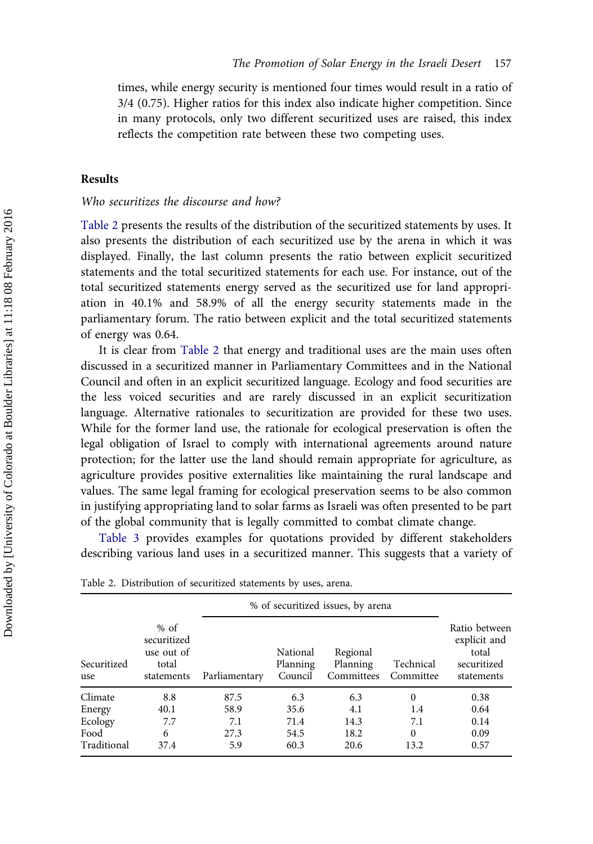<span id="page-10-0"></span>times, while energy security is mentioned four times would result in a ratio of 3/4 (0.75). Higher ratios for this index also indicate higher competition. Since in many protocols, only two different securitized uses are raised, this index reflects the competition rate between these two competing uses.

#### Results

#### Who securitizes the discourse and how?

Table 2 presents the results of the distribution of the securitized statements by uses. It also presents the distribution of each securitized use by the arena in which it was displayed. Finally, the last column presents the ratio between explicit securitized statements and the total securitized statements for each use. For instance, out of the total securitized statements energy served as the securitized use for land appropriation in 40.1% and 58.9% of all the energy security statements made in the parliamentary forum. The ratio between explicit and the total securitized statements of energy was 0.64.

It is clear from Table 2 that energy and traditional uses are the main uses often discussed in a securitized manner in Parliamentary Committees and in the National Council and often in an explicit securitized language. Ecology and food securities are the less voiced securities and are rarely discussed in an explicit securitization language. Alternative rationales to securitization are provided for these two uses. While for the former land use, the rationale for ecological preservation is often the legal obligation of Israel to comply with international agreements around nature protection; for the latter use the land should remain appropriate for agriculture, as agriculture provides positive externalities like maintaining the rural landscape and values. The same legal framing for ecological preservation seems to be also common in justifying appropriating land to solar farms as Israeli was often presented to be part of the global community that is legally committed to combat climate change.

[Table 3](#page-11-0) provides examples for quotations provided by different stakeholders describing various land uses in a securitized manner. This suggests that a variety of

|                    |                                                            | % of securitized issues, by arena |                                 |                                    |                        |                                                                     |
|--------------------|------------------------------------------------------------|-----------------------------------|---------------------------------|------------------------------------|------------------------|---------------------------------------------------------------------|
| Securitized<br>use | $%$ of<br>securitized<br>use out of<br>total<br>statements | Parliamentary                     | National<br>Planning<br>Council | Regional<br>Planning<br>Committees | Technical<br>Committee | Ratio between<br>explicit and<br>total<br>securitized<br>statements |
| Climate            | 8.8                                                        | 87.5                              | 6.3                             | 6.3                                | $\Omega$               | 0.38                                                                |
| Energy             | 40.1                                                       | 58.9                              | 35.6                            | 4.1                                | 1.4                    | 0.64                                                                |
| Ecology            | 7.7                                                        | 7.1                               | 71.4                            | 14.3                               | 7.1                    | 0.14                                                                |
| Food               | 6                                                          | 27.3                              | 54.5                            | 18.2                               | $\Omega$               | 0.09                                                                |
| Traditional        | 37.4                                                       | 5.9                               | 60.3                            | 20.6                               | 13.2                   | 0.57                                                                |

Table 2. Distribution of securitized statements by uses, arena.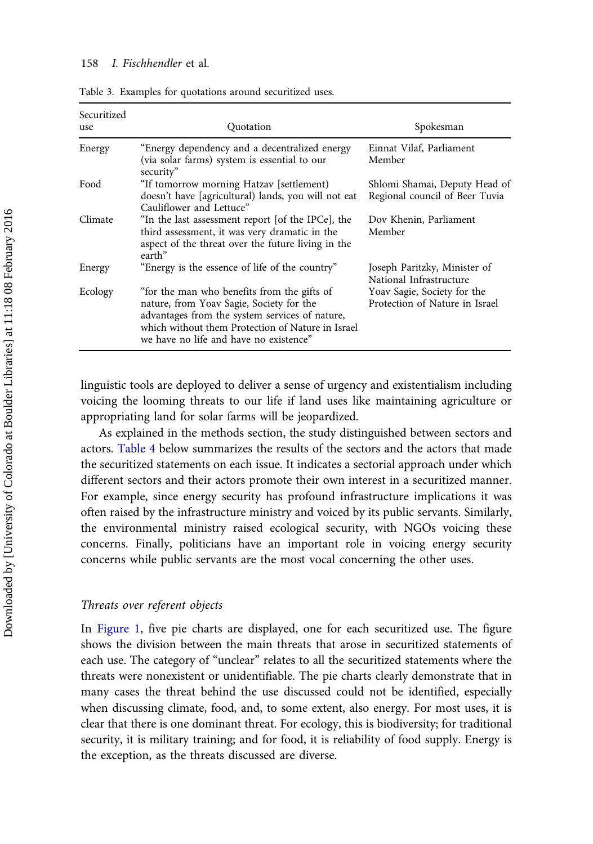| Securitized<br>use | Quotation                                                                                                                                                                                                                                | Spokesman                                                       |
|--------------------|------------------------------------------------------------------------------------------------------------------------------------------------------------------------------------------------------------------------------------------|-----------------------------------------------------------------|
| Energy             | "Energy dependency and a decentralized energy<br>(via solar farms) system is essential to our<br>security"                                                                                                                               | Einnat Vilaf, Parliament<br>Member                              |
| Food               | "If tomorrow morning Hatzav [settlement)<br>doesn't have [agricultural] lands, you will not eat<br>Cauliflower and Lettuce"                                                                                                              | Shlomi Shamai, Deputy Head of<br>Regional council of Beer Tuvia |
| Climate            | "In the last assessment report [of the IPCe], the<br>third assessment, it was very dramatic in the<br>aspect of the threat over the future living in the<br>earth"                                                                       | Dov Khenin, Parliament<br>Member                                |
| Energy             | "Energy is the essence of life of the country"                                                                                                                                                                                           | Joseph Paritzky, Minister of<br>National Infrastructure         |
| Ecology            | "for the man who benefits from the gifts of<br>nature, from Yoav Sagie, Society for the<br>advantages from the system services of nature,<br>which without them Protection of Nature in Israel<br>we have no life and have no existence" | Yoav Sagie, Society for the<br>Protection of Nature in Israel   |

<span id="page-11-0"></span>Table 3. Examples for quotations around securitized uses.

linguistic tools are deployed to deliver a sense of urgency and existentialism including voicing the looming threats to our life if land uses like maintaining agriculture or appropriating land for solar farms will be jeopardized.

As explained in the methods section, the study distinguished between sectors and actors. [Table 4](#page-12-0) below summarizes the results of the sectors and the actors that made the securitized statements on each issue. It indicates a sectorial approach under which different sectors and their actors promote their own interest in a securitized manner. For example, since energy security has profound infrastructure implications it was often raised by the infrastructure ministry and voiced by its public servants. Similarly, the environmental ministry raised ecological security, with NGOs voicing these concerns. Finally, politicians have an important role in voicing energy security concerns while public servants are the most vocal concerning the other uses.

#### Threats over referent objects

In [Figure 1,](#page-13-0) five pie charts are displayed, one for each securitized use. The figure shows the division between the main threats that arose in securitized statements of each use. The category of "unclear" relates to all the securitized statements where the threats were nonexistent or unidentifiable. The pie charts clearly demonstrate that in many cases the threat behind the use discussed could not be identified, especially when discussing climate, food, and, to some extent, also energy. For most uses, it is clear that there is one dominant threat. For ecology, this is biodiversity; for traditional security, it is military training; and for food, it is reliability of food supply. Energy is the exception, as the threats discussed are diverse.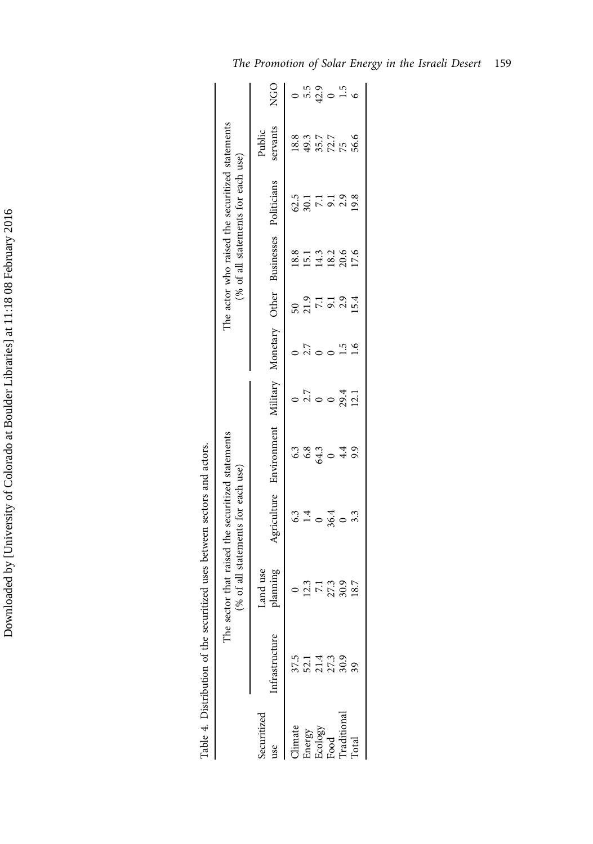Table 4. Distribution of the securitized uses between sectors and actors. Table 4. Distribution of the securitized uses between sectors and actors.

<span id="page-12-0"></span>

|                      | (% of all statements for each use) | sector that raised the securitized statements        |                                  |                         |                                            |                        | The actor who raised the securitized statements<br>(% of all statements for each use) |                                            |                                             |
|----------------------|------------------------------------|------------------------------------------------------|----------------------------------|-------------------------|--------------------------------------------|------------------------|---------------------------------------------------------------------------------------|--------------------------------------------|---------------------------------------------|
| planning<br>Land use | Agriculture                        | Environment Military Monetary Other Businesses       |                                  |                         |                                            |                        | Politicians                                                                           | servants<br>Public                         | NGO                                         |
|                      |                                    |                                                      |                                  |                         | 50                                         | 18.8                   |                                                                                       |                                            |                                             |
|                      |                                    |                                                      |                                  |                         |                                            |                        |                                                                                       |                                            | 5.5                                         |
| $\overline{5}$       |                                    |                                                      | $\circ$                          |                         |                                            |                        |                                                                                       |                                            | $^{42.9}_{0}$                               |
|                      |                                    |                                                      |                                  |                         |                                            |                        |                                                                                       |                                            |                                             |
|                      |                                    |                                                      |                                  |                         |                                            |                        |                                                                                       |                                            | $\frac{1.5}{6}$                             |
|                      |                                    |                                                      |                                  |                         | L5.4                                       |                        | 19.8                                                                                  |                                            |                                             |
|                      | 27.3<br>30.9<br>18.7<br>12.3       | $6.\frac{3}{4}$<br>36.4<br>3.3<br>$\circ$<br>$\circ$ | 9.9<br>6.3<br>6.8<br>64.3<br>4.4 | 29.4<br>12.1<br>$\circ$ | $\ddot{0}$<br>2.7<br>1.5<br>$\overline{a}$ | $7.1$<br>$2.3$<br>21.9 | 14.3<br>18.2<br>17.6<br>15.1                                                          | $62.5$<br>$7.1$<br>$7.1$<br>$9.1$<br>$2.9$ | 8.3.7.7<br>8.9.7.7.7<br>8.9.7.7.7.7<br>56.6 |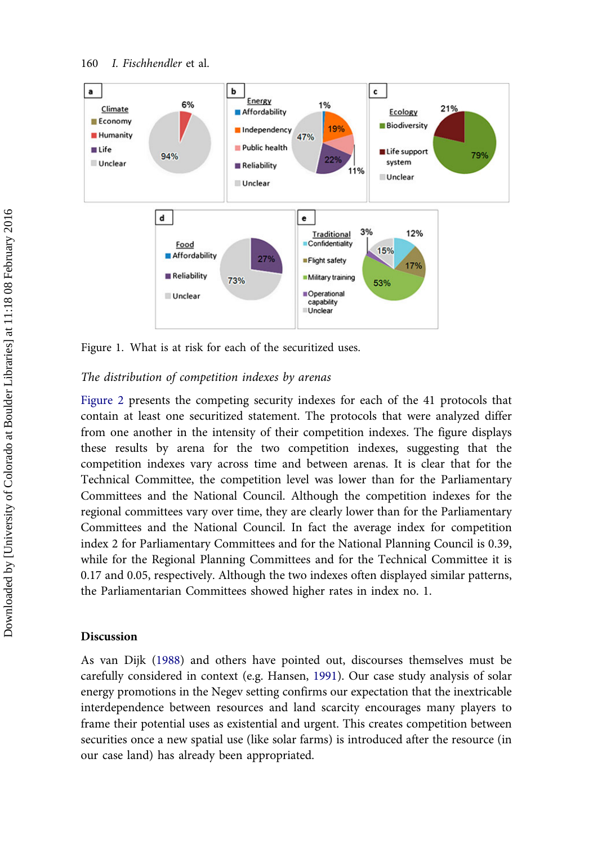<span id="page-13-0"></span>

Figure 1. What is at risk for each of the securitized uses.

# The distribution of competition indexes by arenas

[Figure 2](#page-14-0) presents the competing security indexes for each of the 41 protocols that contain at least one securitized statement. The protocols that were analyzed differ from one another in the intensity of their competition indexes. The figure displays these results by arena for the two competition indexes, suggesting that the competition indexes vary across time and between arenas. It is clear that for the Technical Committee, the competition level was lower than for the Parliamentary Committees and the National Council. Although the competition indexes for the regional committees vary over time, they are clearly lower than for the Parliamentary Committees and the National Council. In fact the average index for competition index 2 for Parliamentary Committees and for the National Planning Council is 0.39, while for the Regional Planning Committees and for the Technical Committee it is 0.17 and 0.05, respectively. Although the two indexes often displayed similar patterns, the Parliamentarian Committees showed higher rates in index no. 1.

## Discussion

As van Dijk ([1988\)](#page-21-0) and others have pointed out, discourses themselves must be carefully considered in context (e.g. Hansen, [1991\)](#page-19-0). Our case study analysis of solar energy promotions in the Negev setting confirms our expectation that the inextricable interdependence between resources and land scarcity encourages many players to frame their potential uses as existential and urgent. This creates competition between securities once a new spatial use (like solar farms) is introduced after the resource (in our case land) has already been appropriated.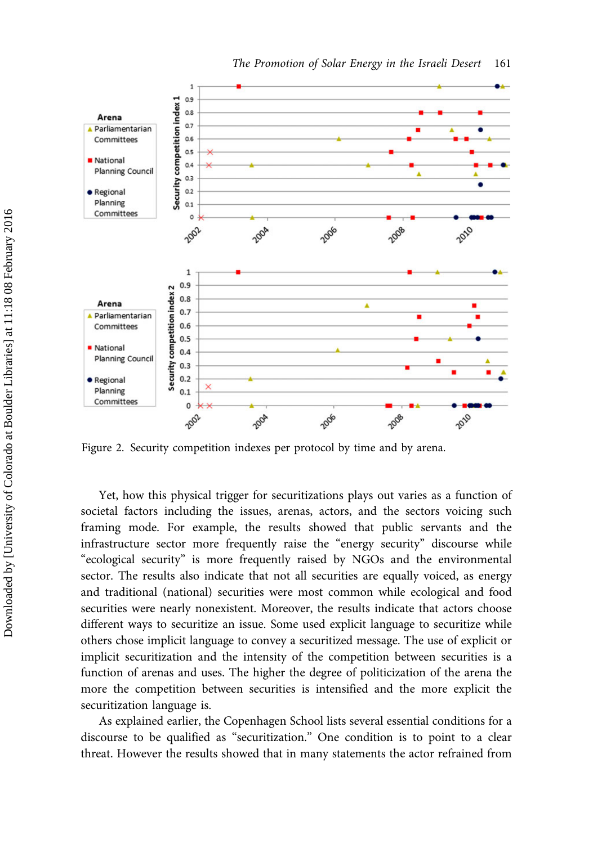<span id="page-14-0"></span>

Figure 2. Security competition indexes per protocol by time and by arena.

Yet, how this physical trigger for securitizations plays out varies as a function of societal factors including the issues, arenas, actors, and the sectors voicing such framing mode. For example, the results showed that public servants and the infrastructure sector more frequently raise the "energy security" discourse while "ecological security" is more frequently raised by NGOs and the environmental sector. The results also indicate that not all securities are equally voiced, as energy and traditional (national) securities were most common while ecological and food securities were nearly nonexistent. Moreover, the results indicate that actors choose different ways to securitize an issue. Some used explicit language to securitize while others chose implicit language to convey a securitized message. The use of explicit or implicit securitization and the intensity of the competition between securities is a function of arenas and uses. The higher the degree of politicization of the arena the more the competition between securities is intensified and the more explicit the securitization language is.

As explained earlier, the Copenhagen School lists several essential conditions for a discourse to be qualified as "securitization." One condition is to point to a clear threat. However the results showed that in many statements the actor refrained from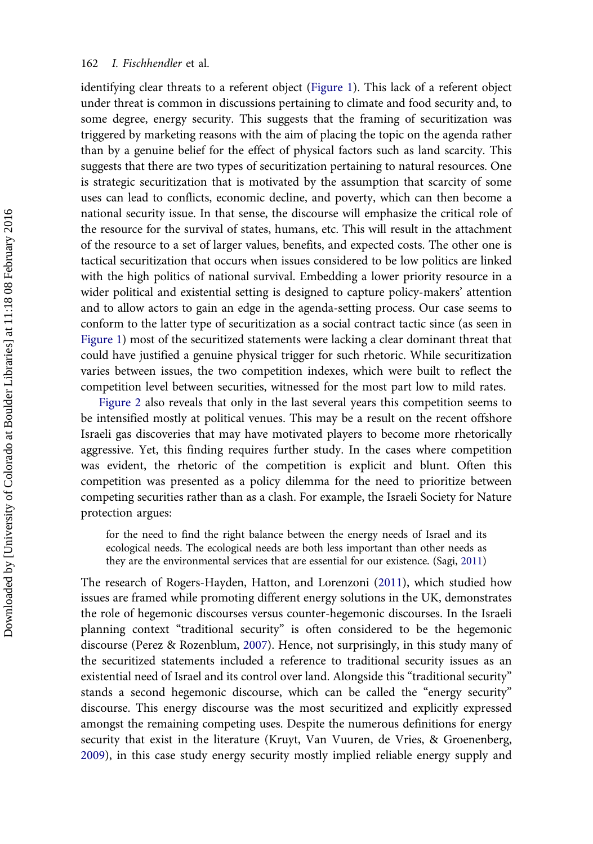identifying clear threats to a referent object ([Figure 1\)](#page-13-0). This lack of a referent object under threat is common in discussions pertaining to climate and food security and, to some degree, energy security. This suggests that the framing of securitization was triggered by marketing reasons with the aim of placing the topic on the agenda rather than by a genuine belief for the effect of physical factors such as land scarcity. This suggests that there are two types of securitization pertaining to natural resources. One is strategic securitization that is motivated by the assumption that scarcity of some uses can lead to conflicts, economic decline, and poverty, which can then become a national security issue. In that sense, the discourse will emphasize the critical role of the resource for the survival of states, humans, etc. This will result in the attachment of the resource to a set of larger values, benefits, and expected costs. The other one is tactical securitization that occurs when issues considered to be low politics are linked with the high politics of national survival. Embedding a lower priority resource in a wider political and existential setting is designed to capture policy-makers' attention and to allow actors to gain an edge in the agenda-setting process. Our case seems to conform to the latter type of securitization as a social contract tactic since (as seen in [Figure 1\)](#page-13-0) most of the securitized statements were lacking a clear dominant threat that could have justified a genuine physical trigger for such rhetoric. While securitization varies between issues, the two competition indexes, which were built to reflect the competition level between securities, witnessed for the most part low to mild rates.

[Figure 2](#page-14-0) also reveals that only in the last several years this competition seems to be intensified mostly at political venues. This may be a result on the recent offshore Israeli gas discoveries that may have motivated players to become more rhetorically aggressive. Yet, this finding requires further study. In the cases where competition was evident, the rhetoric of the competition is explicit and blunt. Often this competition was presented as a policy dilemma for the need to prioritize between competing securities rather than as a clash. For example, the Israeli Society for Nature protection argues:

for the need to find the right balance between the energy needs of Israel and its ecological needs. The ecological needs are both less important than other needs as they are the environmental services that are essential for our existence. (Sagi, [2011\)](#page-20-0)

The research of Rogers-Hayden, Hatton, and Lorenzoni ([2011\)](#page-20-0), which studied how issues are framed while promoting different energy solutions in the UK, demonstrates the role of hegemonic discourses versus counter-hegemonic discourses. In the Israeli planning context "traditional security" is often considered to be the hegemonic discourse (Perez & Rozenblum, [2007](#page-20-0)). Hence, not surprisingly, in this study many of the securitized statements included a reference to traditional security issues as an existential need of Israel and its control over land. Alongside this "traditional security" stands a second hegemonic discourse, which can be called the "energy security" discourse. This energy discourse was the most securitized and explicitly expressed amongst the remaining competing uses. Despite the numerous definitions for energy security that exist in the literature (Kruyt, Van Vuuren, de Vries, & Groenenberg, [2009](#page-20-0)), in this case study energy security mostly implied reliable energy supply and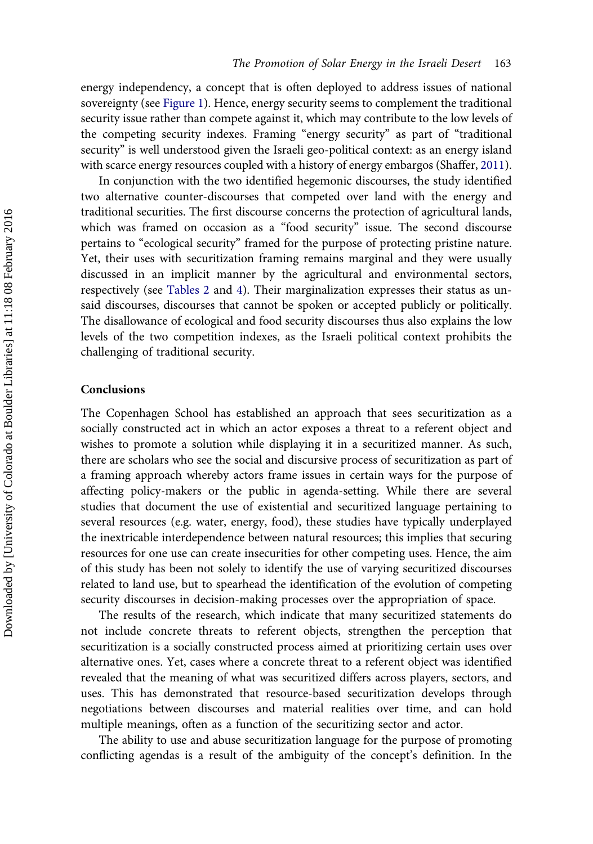energy independency, a concept that is often deployed to address issues of national sovereignty (see [Figure 1\)](#page-13-0). Hence, energy security seems to complement the traditional security issue rather than compete against it, which may contribute to the low levels of the competing security indexes. Framing "energy security" as part of "traditional security" is well understood given the Israeli geo-political context: as an energy island with scarce energy resources coupled with a history of energy embargos (Shaffer, [2011](#page-20-0)).

In conjunction with the two identified hegemonic discourses, the study identified two alternative counter-discourses that competed over land with the energy and traditional securities. The first discourse concerns the protection of agricultural lands, which was framed on occasion as a "food security" issue. The second discourse pertains to "ecological security" framed for the purpose of protecting pristine nature. Yet, their uses with securitization framing remains marginal and they were usually discussed in an implicit manner by the agricultural and environmental sectors, respectively (see [Tables 2](#page-10-0) and [4\)](#page-12-0). Their marginalization expresses their status as unsaid discourses, discourses that cannot be spoken or accepted publicly or politically. The disallowance of ecological and food security discourses thus also explains the low levels of the two competition indexes, as the Israeli political context prohibits the challenging of traditional security.

#### **Conclusions**

The Copenhagen School has established an approach that sees securitization as a socially constructed act in which an actor exposes a threat to a referent object and wishes to promote a solution while displaying it in a securitized manner. As such, there are scholars who see the social and discursive process of securitization as part of a framing approach whereby actors frame issues in certain ways for the purpose of affecting policy-makers or the public in agenda-setting. While there are several studies that document the use of existential and securitized language pertaining to several resources (e.g. water, energy, food), these studies have typically underplayed the inextricable interdependence between natural resources; this implies that securing resources for one use can create insecurities for other competing uses. Hence, the aim of this study has been not solely to identify the use of varying securitized discourses related to land use, but to spearhead the identification of the evolution of competing security discourses in decision-making processes over the appropriation of space.

The results of the research, which indicate that many securitized statements do not include concrete threats to referent objects, strengthen the perception that securitization is a socially constructed process aimed at prioritizing certain uses over alternative ones. Yet, cases where a concrete threat to a referent object was identified revealed that the meaning of what was securitized differs across players, sectors, and uses. This has demonstrated that resource-based securitization develops through negotiations between discourses and material realities over time, and can hold multiple meanings, often as a function of the securitizing sector and actor.

The ability to use and abuse securitization language for the purpose of promoting conflicting agendas is a result of the ambiguity of the concept's definition. In the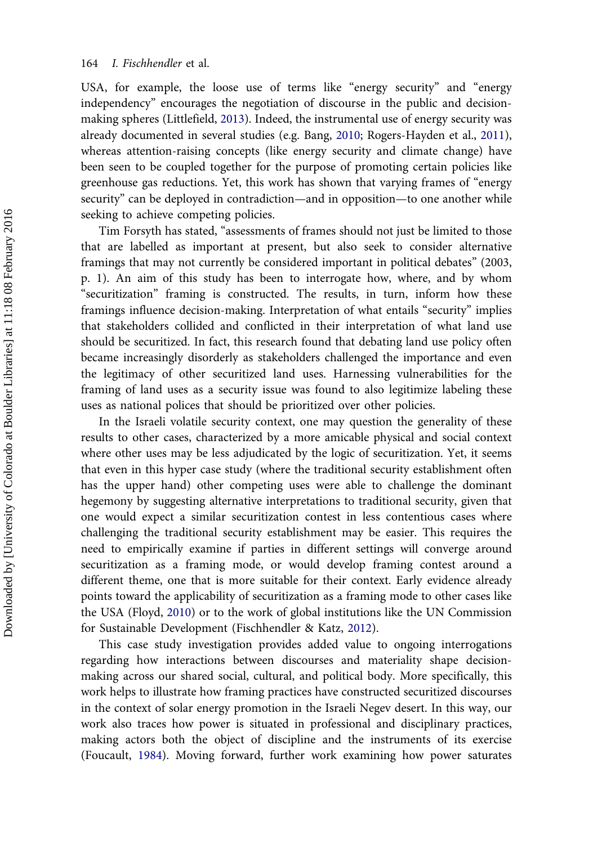USA, for example, the loose use of terms like "energy security" and "energy independency" encourages the negotiation of discourse in the public and decisionmaking spheres (Littlefield, [2013](#page-20-0)). Indeed, the instrumental use of energy security was already documented in several studies (e.g. Bang, [2010;](#page-18-0) Rogers-Hayden et al., [2011](#page-20-0)), whereas attention-raising concepts (like energy security and climate change) have been seen to be coupled together for the purpose of promoting certain policies like greenhouse gas reductions. Yet, this work has shown that varying frames of "energy security" can be deployed in contradiction—and in opposition—to one another while seeking to achieve competing policies.

Tim Forsyth has stated, "assessments of frames should not just be limited to those that are labelled as important at present, but also seek to consider alternative framings that may not currently be considered important in political debates" (2003, p. 1). An aim of this study has been to interrogate how, where, and by whom "securitization" framing is constructed. The results, in turn, inform how these framings influence decision-making. Interpretation of what entails "security" implies that stakeholders collided and conflicted in their interpretation of what land use should be securitized. In fact, this research found that debating land use policy often became increasingly disorderly as stakeholders challenged the importance and even the legitimacy of other securitized land uses. Harnessing vulnerabilities for the framing of land uses as a security issue was found to also legitimize labeling these uses as national polices that should be prioritized over other policies.

In the Israeli volatile security context, one may question the generality of these results to other cases, characterized by a more amicable physical and social context where other uses may be less adjudicated by the logic of securitization. Yet, it seems that even in this hyper case study (where the traditional security establishment often has the upper hand) other competing uses were able to challenge the dominant hegemony by suggesting alternative interpretations to traditional security, given that one would expect a similar securitization contest in less contentious cases where challenging the traditional security establishment may be easier. This requires the need to empirically examine if parties in different settings will converge around securitization as a framing mode, or would develop framing contest around a different theme, one that is more suitable for their context. Early evidence already points toward the applicability of securitization as a framing mode to other cases like the USA (Floyd, [2010\)](#page-19-0) or to the work of global institutions like the UN Commission for Sustainable Development (Fischhendler & Katz, [2012](#page-19-0)).

This case study investigation provides added value to ongoing interrogations regarding how interactions between discourses and materiality shape decisionmaking across our shared social, cultural, and political body. More specifically, this work helps to illustrate how framing practices have constructed securitized discourses in the context of solar energy promotion in the Israeli Negev desert. In this way, our work also traces how power is situated in professional and disciplinary practices, making actors both the object of discipline and the instruments of its exercise (Foucault, [1984\)](#page-19-0). Moving forward, further work examining how power saturates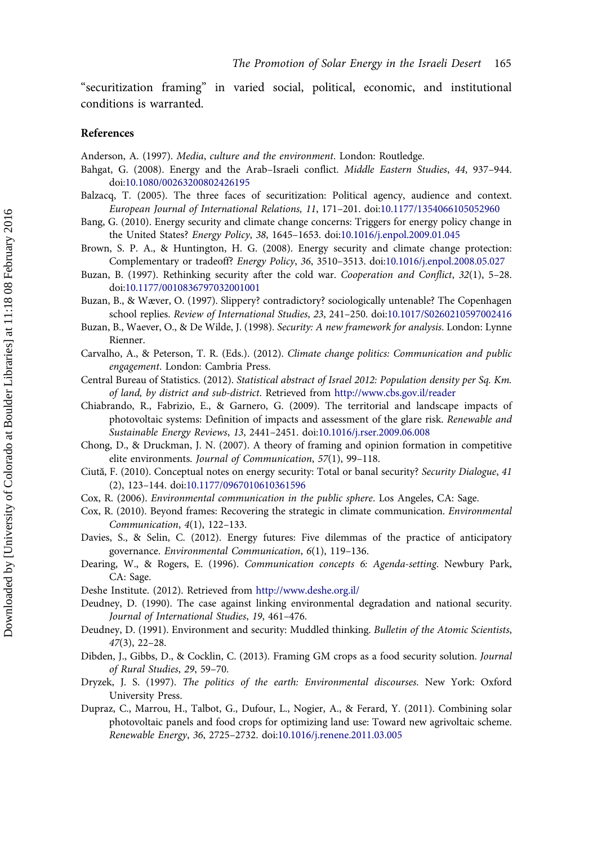<span id="page-18-0"></span>"securitization framing" in varied social, political, economic, and institutional conditions is warranted.

#### References

Anderson, A. (1997). Media, culture and the environment. London: Routledge.

- Bahgat, G. (2008). Energy and the Arab–Israeli conflict. Middle Eastern Studies, 44, 937–944. doi[:10.1080/00263200802426195](http://dx.doi.org/10.1080/00263200802426195)
- Balzacq, T. (2005). The three faces of securitization: Political agency, audience and context. European Journal of International Relations, 11, 171–201. doi:[10.1177/1354066105052960](http://dx.doi.org/10.1177/1354066105052960)
- Bang, G. (2010). Energy security and climate change concerns: Triggers for energy policy change in the United States? Energy Policy, 38, 1645–1653. doi:[10.1016/j.enpol.2009.01.045](http://dx.doi.org/10.1016/j.enpol.2009.01.045)
- Brown, S. P. A., & Huntington, H. G. (2008). Energy security and climate change protection: Complementary or tradeoff? Energy Policy, 36, 3510–3513. doi:[10.1016/j.enpol.2008.05.027](http://dx.doi.org/10.1016/j.enpol.2008.05.027)
- Buzan, B. (1997). Rethinking security after the cold war. Cooperation and Conflict, 32(1), 5–28. doi[:10.1177/0010836797032001001](http://dx.doi.org/10.1177/0010836797032001001)
- Buzan, B., & Wæver, O. (1997). Slippery? contradictory? sociologically untenable? The Copenhagen school replies. Review of International Studies, 23, 241–250. doi[:10.1017/S0260210597002416](http://dx.doi.org/10.1017/S0260210597002416)
- Buzan, B., Waever, O., & De Wilde, J. (1998). Security: A new framework for analysis. London: Lynne Rienner.
- Carvalho, A., & Peterson, T. R. (Eds.). (2012). Climate change politics: Communication and public engagement. London: Cambria Press.
- Central Bureau of Statistics. (2012). Statistical abstract of Israel 2012: Population density per Sq. Km. of land, by district and sub-district. Retrieved from <http://www.cbs.gov.il/reader>
- Chiabrando, R., Fabrizio, E., & Garnero, G. (2009). The territorial and landscape impacts of photovoltaic systems: Definition of impacts and assessment of the glare risk. Renewable and Sustainable Energy Reviews, 13, 2441–2451. doi:[10.1016/j.rser.2009.06.008](http://dx.doi.org/10.1016/j.rser.2009.06.008)
- Chong, D., & Druckman, J. N. (2007). A theory of framing and opinion formation in competitive elite environments. Journal of Communication, 57(1), 99–118.
- Ciută, F. (2010). Conceptual notes on energy security: Total or banal security? Security Dialogue, 41 (2), 123–144. doi[:10.1177/0967010610361596](http://dx.doi.org/10.1177/0967010610361596)
- Cox, R. (2006). Environmental communication in the public sphere. Los Angeles, CA: Sage.
- Cox, R. (2010). Beyond frames: Recovering the strategic in climate communication. Environmental Communication, 4(1), 122–133.
- Davies, S., & Selin, C. (2012). Energy futures: Five dilemmas of the practice of anticipatory governance. Environmental Communication, 6(1), 119–136.
- Dearing, W., & Rogers, E. (1996). Communication concepts 6: Agenda-setting. Newbury Park, CA: Sage.
- Deshe Institute. (2012). Retrieved from <http://www.deshe.org.il/>
- Deudney, D. (1990). The case against linking environmental degradation and national security. Journal of International Studies, 19, 461–476.
- Deudney, D. (1991). Environment and security: Muddled thinking. Bulletin of the Atomic Scientists, 47(3), 22–28.
- Dibden, J., Gibbs, D., & Cocklin, C. (2013). Framing GM crops as a food security solution. Journal of Rural Studies, 29, 59–70.
- Dryzek, J. S. (1997). The politics of the earth: Environmental discourses. New York: Oxford University Press.
- Dupraz, C., Marrou, H., Talbot, G., Dufour, L., Nogier, A., & Ferard, Y. (2011). Combining solar photovoltaic panels and food crops for optimizing land use: Toward new agrivoltaic scheme. Renewable Energy, 36, 2725–2732. doi[:10.1016/j.renene.2011.03.005](http://dx.doi.org/10.1016/j.renene.2011.03.005)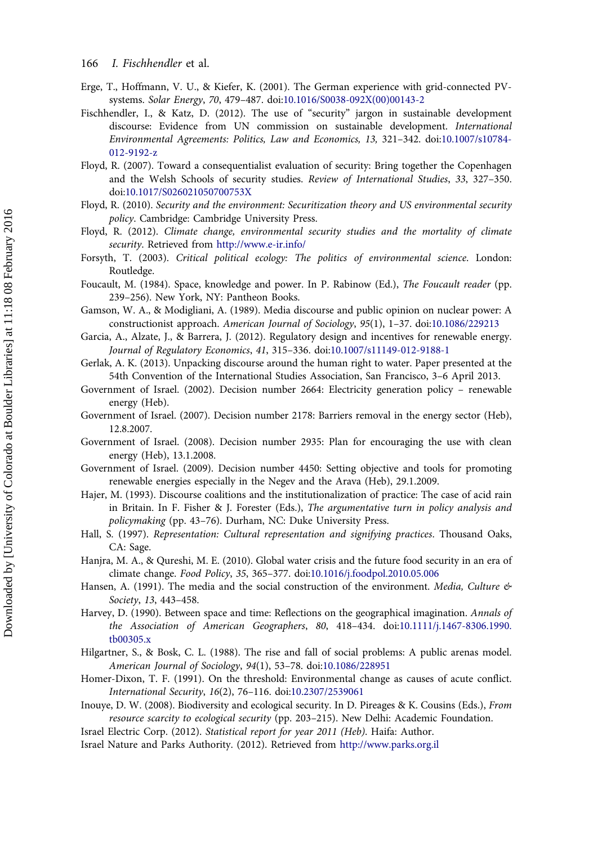- <span id="page-19-0"></span>Erge, T., Hoffmann, V. U., & Kiefer, K. (2001). The German experience with grid-connected PVsystems. Solar Energy, 70, 479–487. doi:[10.1016/S0038-092X\(00\)00143-2](http://dx.doi.org/10.1016/S0038-092X(00)00143-2)
- Fischhendler, I., & Katz, D. (2012). The use of "security" jargon in sustainable development discourse: Evidence from UN commission on sustainable development. International Environmental Agreements: Politics, Law and Economics, 13, 321–342. doi[:10.1007/s10784-](http://dx.doi.org/10.1007/s10784-012-9192-z) [012-9192-z](http://dx.doi.org/10.1007/s10784-012-9192-z)
- Floyd, R. (2007). Toward a consequentialist evaluation of security: Bring together the Copenhagen and the Welsh Schools of security studies. Review of International Studies, 33, 327–350. doi[:10.1017/S026021050700753X](http://dx.doi.org/10.1017/S026021050700753X)
- Floyd, R. (2010). Security and the environment: Securitization theory and US environmental security policy. Cambridge: Cambridge University Press.
- Floyd, R. (2012). Climate change, environmental security studies and the mortality of climate security. Retrieved from <http://www.e-ir.info/>
- Forsyth, T. (2003). Critical political ecology: The politics of environmental science. London: Routledge.
- Foucault, M. (1984). Space, knowledge and power. In P. Rabinow (Ed.), The Foucault reader (pp. 239–256). New York, NY: Pantheon Books.
- Gamson, W. A., & Modigliani, A. (1989). Media discourse and public opinion on nuclear power: A constructionist approach. American Journal of Sociology, 95(1), 1–37. doi[:10.1086/229213](http://dx.doi.org/10.1086/229213)
- Garcia, A., Alzate, J., & Barrera, J. (2012). Regulatory design and incentives for renewable energy. Journal of Regulatory Economics, 41, 315–336. doi[:10.1007/s11149-012-9188-1](http://dx.doi.org/10.1007/s11149-012-9188-1)
- Gerlak, A. K. (2013). Unpacking discourse around the human right to water. Paper presented at the 54th Convention of the International Studies Association, San Francisco, 3–6 April 2013.
- Government of Israel. (2002). Decision number 2664: Electricity generation policy renewable energy (Heb).
- Government of Israel. (2007). Decision number 2178: Barriers removal in the energy sector (Heb), 12.8.2007.
- Government of Israel. (2008). Decision number 2935: Plan for encouraging the use with clean energy (Heb), 13.1.2008.
- Government of Israel. (2009). Decision number 4450: Setting objective and tools for promoting renewable energies especially in the Negev and the Arava (Heb), 29.1.2009.
- Hajer, M. (1993). Discourse coalitions and the institutionalization of practice: The case of acid rain in Britain. In F. Fisher & J. Forester (Eds.), The argumentative turn in policy analysis and policymaking (pp. 43–76). Durham, NC: Duke University Press.
- Hall, S. (1997). Representation: Cultural representation and signifying practices. Thousand Oaks, CA: Sage.
- Hanjra, M. A., & Qureshi, M. E. (2010). Global water crisis and the future food security in an era of climate change. Food Policy, 35, 365–377. doi[:10.1016/j.foodpol.2010.05.006](http://dx.doi.org/10.1016/j.foodpol.2010.05.006)
- Hansen, A. (1991). The media and the social construction of the environment. *Media, Culture*  $\mathfrak{G}$ Society, 13, 443–458.
- Harvey, D. (1990). Between space and time: Reflections on the geographical imagination. Annals of the Association of American Geographers, 80, 418–434. doi[:10.1111/j.1467-8306.1990.](http://dx.doi.org/10.1111/j.1467-8306.1990.tb00305.x) [tb00305.x](http://dx.doi.org/10.1111/j.1467-8306.1990.tb00305.x)
- Hilgartner, S., & Bosk, C. L. (1988). The rise and fall of social problems: A public arenas model. American Journal of Sociology, 94(1), 53–78. doi:[10.1086/228951](http://dx.doi.org/10.1086/228951)
- Homer-Dixon, T. F. (1991). On the threshold: Environmental change as causes of acute conflict. International Security, 16(2), 76–116. doi[:10.2307/2539061](http://dx.doi.org/10.2307/2539061)
- Inouye, D. W. (2008). Biodiversity and ecological security. In D. Pireages & K. Cousins (Eds.), From resource scarcity to ecological security (pp. 203–215). New Delhi: Academic Foundation.
- Israel Electric Corp. (2012). Statistical report for year 2011 (Heb). Haifa: Author.
- Israel Nature and Parks Authority. (2012). Retrieved from <http://www.parks.org.il>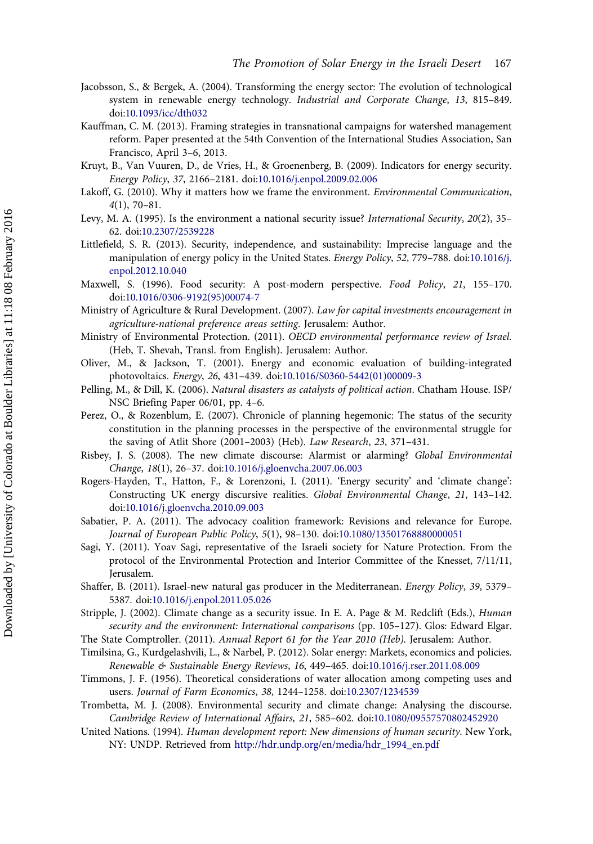- <span id="page-20-0"></span>Jacobsson, S., & Bergek, A. (2004). Transforming the energy sector: The evolution of technological system in renewable energy technology. Industrial and Corporate Change, 13, 815–849. doi[:10.1093/icc/dth032](http://dx.doi.org/10.1093/icc/dth032)
- Kauffman, C. M. (2013). Framing strategies in transnational campaigns for watershed management reform. Paper presented at the 54th Convention of the International Studies Association, San Francisco, April 3–6, 2013.
- Kruyt, B., Van Vuuren, D., de Vries, H., & Groenenberg, B. (2009). Indicators for energy security. Energy Policy, 37, 2166–2181. doi:[10.1016/j.enpol.2009.02.006](http://dx.doi.org/10.1016/j.enpol.2009.02.006)
- Lakoff, G. (2010). Why it matters how we frame the environment. Environmental Communication, 4(1), 70–81.
- Levy, M. A. (1995). Is the environment a national security issue? International Security, 20(2), 35– 62. doi:[10.2307/2539228](http://dx.doi.org/10.2307/2539228)
- Littlefield, S. R. (2013). Security, independence, and sustainability: Imprecise language and the manipulation of energy policy in the United States. Energy Policy, 52, 779–788. doi[:10.1016/j.](http://dx.doi.org/10.1016/j.enpol.2012.10.040) [enpol.2012.10.040](http://dx.doi.org/10.1016/j.enpol.2012.10.040)
- Maxwell, S. (1996). Food security: A post-modern perspective. Food Policy, 21, 155–170. doi[:10.1016/0306-9192\(95\)00074-7](http://dx.doi.org/10.1016/0306-9192(95)00074-7)
- Ministry of Agriculture & Rural Development. (2007). Law for capital investments encouragement in agriculture-national preference areas setting. Jerusalem: Author.
- Ministry of Environmental Protection. (2011). OECD environmental performance review of Israel. (Heb, T. Shevah, Transl. from English). Jerusalem: Author.
- Oliver, M., & Jackson, T. (2001). Energy and economic evaluation of building-integrated photovoltaics. Energy, 26, 431–439. doi:[10.1016/S0360-5442\(01\)00009-3](http://dx.doi.org/10.1016/S0360-5442(01)00009-3)
- Pelling, M., & Dill, K. (2006). Natural disasters as catalysts of political action. Chatham House. ISP/ NSC Briefing Paper 06/01, pp. 4–6.
- Perez, O., & Rozenblum, E. (2007). Chronicle of planning hegemonic: The status of the security constitution in the planning processes in the perspective of the environmental struggle for the saving of Atlit Shore (2001–2003) (Heb). Law Research, 23, 371–431.
- Risbey, J. S. (2008). The new climate discourse: Alarmist or alarming? Global Environmental Change, 18(1), 26–37. doi[:10.1016/j.gloenvcha.2007.06.003](http://dx.doi.org/10.1016/j.gloenvcha.2007.06.003)
- Rogers-Hayden, T., Hatton, F., & Lorenzoni, I. (2011). 'Energy security' and 'climate change': Constructing UK energy discursive realities. Global Environmental Change, 21, 143–142. doi[:10.1016/j.gloenvcha.2010.09.003](http://dx.doi.org/10.1016/j.gloenvcha.2010.09.003)
- Sabatier, P. A. (2011). The advocacy coalition framework: Revisions and relevance for Europe. Journal of European Public Policy, 5(1), 98–130. doi:[10.1080/13501768880000051](http://dx.doi.org/10.1080/13501768880000051)
- Sagi, Y. (2011). Yoav Sagi, representative of the Israeli society for Nature Protection. From the protocol of the Environmental Protection and Interior Committee of the Knesset, 7/11/11, Jerusalem.
- Shaffer, B. (2011). Israel-new natural gas producer in the Mediterranean. Energy Policy, 39, 5379– 5387. doi[:10.1016/j.enpol.2011.05.026](http://dx.doi.org/10.1016/j.enpol.2011.05.026)
- Stripple, J. (2002). Climate change as a security issue. In E. A. Page & M. Redclift (Eds.), Human security and the environment: International comparisons (pp. 105–127). Glos: Edward Elgar.
- The State Comptroller. (2011). Annual Report 61 for the Year 2010 (Heb). Jerusalem: Author.
- Timilsina, G., Kurdgelashvili, L., & Narbel, P. (2012). Solar energy: Markets, economics and policies. Renewable & Sustainable Energy Reviews, 16, 449–465. doi:[10.1016/j.rser.2011.08.009](http://dx.doi.org/10.1016/j.rser.2011.08.009)
- Timmons, J. F. (1956). Theoretical considerations of water allocation among competing uses and users. Journal of Farm Economics, 38, 1244–1258. doi[:10.2307/1234539](http://dx.doi.org/10.2307/1234539)
- Trombetta, M. J. (2008). Environmental security and climate change: Analysing the discourse. Cambridge Review of International Affairs, 21, 585–602. doi:[10.1080/09557570802452920](http://dx.doi.org/10.1080/09557570802452920)
- United Nations. (1994). Human development report: New dimensions of human security. New York, NY: UNDP. Retrieved from [http://hdr.undp.org/en/media/hdr\\_1994\\_en.pdf](http://hdr.undp.org/en/media/hdr_1994_en.pdf)